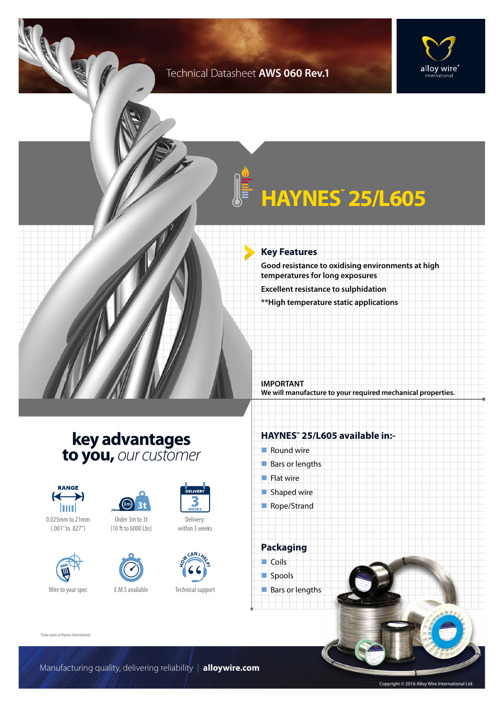### Technical Datasheet **AWS 060 Rev.1**





# **HAYNES˘ 25/L605**

#### **Key Features**

**Good resistance to oxidising environments at high temperatures for long exposures**

**Excellent resistance to sulphidation**

**\*\*High temperature static applications**

**IMPORTANT We will manufacture to your required mechanical properties.**

## **key advantages to you,** *our customer*









Order 3m to 3t (10 ft to 6000 Lbs)



**H CAN I**<br> **H E D** 

Technical support

Delivery: within 3 weeks

DELIVER

### **HAYNES˘ 25/L605 available in:-**

- $\blacksquare$  Round wire  $\blacksquare$  Bars or lengths
- $\blacksquare$  Flat wire  $\blacksquare$  Shaped wire
- Rope/Strand



spools

Bars or lengths

˘Trade name of Haynes International.

Manufacturing quality, delivering reliability | **alloywire.com**

Copyright © 2016 Alloy Wire International Ltd.